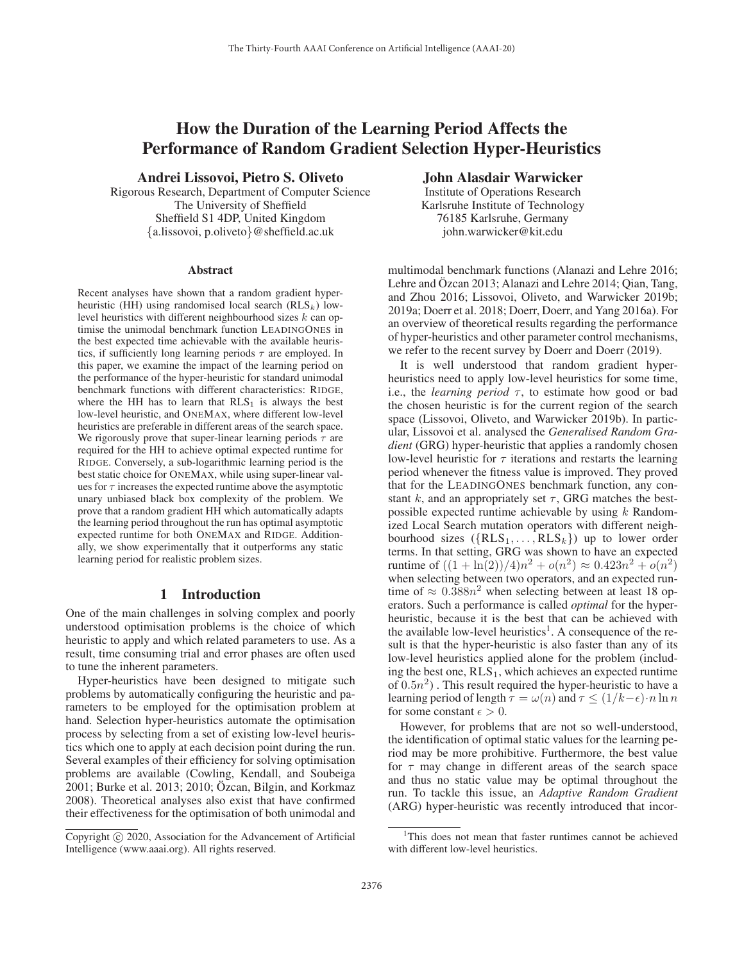# How the Duration of the Learning Period Affects the Performance of Random Gradient Selection Hyper-Heuristics

Andrei Lissovoi, Pietro S. Oliveto

Rigorous Research, Department of Computer Science The University of Sheffield Sheffield S1 4DP, United Kingdom {a.lissovoi, p.oliveto}@sheffield.ac.uk

#### **Abstract**

Recent analyses have shown that a random gradient hyperheuristic (HH) using randomised local search ( $RLS_k$ ) lowlevel heuristics with different neighbourhood sizes k can optimise the unimodal benchmark function LEADINGONES in the best expected time achievable with the available heuristics, if sufficiently long learning periods  $\tau$  are employed. In this paper, we examine the impact of the learning period on the performance of the hyper-heuristic for standard unimodal benchmark functions with different characteristics: RIDGE, where the HH has to learn that  $RLS<sub>1</sub>$  is always the best low-level heuristic, and ONEMAX, where different low-level heuristics are preferable in different areas of the search space. We rigorously prove that super-linear learning periods  $\tau$  are required for the HH to achieve optimal expected runtime for RIDGE. Conversely, a sub-logarithmic learning period is the best static choice for ONEMAX, while using super-linear values for  $\tau$  increases the expected runtime above the asymptotic unary unbiased black box complexity of the problem. We prove that a random gradient HH which automatically adapts the learning period throughout the run has optimal asymptotic expected runtime for both ONEMAX and RIDGE. Additionally, we show experimentally that it outperforms any static learning period for realistic problem sizes.

# 1 Introduction

One of the main challenges in solving complex and poorly understood optimisation problems is the choice of which heuristic to apply and which related parameters to use. As a result, time consuming trial and error phases are often used to tune the inherent parameters.

Hyper-heuristics have been designed to mitigate such problems by automatically configuring the heuristic and parameters to be employed for the optimisation problem at hand. Selection hyper-heuristics automate the optimisation process by selecting from a set of existing low-level heuristics which one to apply at each decision point during the run. Several examples of their efficiency for solving optimisation problems are available (Cowling, Kendall, and Soubeiga 2001; Burke et al. 2013; 2010; Özcan, Bilgin, and Korkmaz 2008). Theoretical analyses also exist that have confirmed their effectiveness for the optimisation of both unimodal and

# John Alasdair Warwicker

Institute of Operations Research Karlsruhe Institute of Technology 76185 Karlsruhe, Germany john.warwicker@kit.edu

multimodal benchmark functions (Alanazi and Lehre 2016; Lehre and Ozcan 2013; Alanazi and Lehre 2014; Qian, Tang, and Zhou 2016; Lissovoi, Oliveto, and Warwicker 2019b; 2019a; Doerr et al. 2018; Doerr, Doerr, and Yang 2016a). For an overview of theoretical results regarding the performance of hyper-heuristics and other parameter control mechanisms, we refer to the recent survey by Doerr and Doerr (2019).

It is well understood that random gradient hyperheuristics need to apply low-level heuristics for some time, i.e., the *learning period*  $\tau$ , to estimate how good or bad the chosen heuristic is for the current region of the search space (Lissovoi, Oliveto, and Warwicker 2019b). In particular, Lissovoi et al. analysed the *Generalised Random Gradient* (GRG) hyper-heuristic that applies a randomly chosen low-level heuristic for  $\tau$  iterations and restarts the learning period whenever the fitness value is improved. They proved that for the LEADINGONES benchmark function, any constant k, and an appropriately set  $\tau$ , GRG matches the bestpossible expected runtime achievable by using  $k$  Randomized Local Search mutation operators with different neighbourhood sizes  $({\text{RLS}_1, \ldots, \text{RLS}_k})$  up to lower order terms. In that setting, GRG was shown to have an expected runtime of  $((1 + \ln(2))/4)n^2 + o(n^2) \approx 0.423n^2 + o(n^2)$ when selecting between two operators, and an expected runtime of  $\approx 0.388n^2$  when selecting between at least 18 operators. Such a performance is called *optimal* for the hyperheuristic, because it is the best that can be achieved with the available low-level heuristics<sup>1</sup>. A consequence of the result is that the hyper-heuristic is also faster than any of its low-level heuristics applied alone for the problem (including the best one,  $RLS_1$ , which achieves an expected runtime of  $(0.5n^2)$ . This result required the hyper-heuristic to have a learning period of length  $\tau = \omega(n)$  and  $\tau \leq (1/k - \epsilon) \cdot n \ln n$ for some constant  $\epsilon > 0$ .

However, for problems that are not so well-understood, the identification of optimal static values for the learning period may be more prohibitive. Furthermore, the best value for  $\tau$  may change in different areas of the search space and thus no static value may be optimal throughout the run. To tackle this issue, an *Adaptive Random Gradient* (ARG) hyper-heuristic was recently introduced that incor-

Copyright  $\odot$  2020, Association for the Advancement of Artificial Intelligence (www.aaai.org). All rights reserved.

<sup>&</sup>lt;sup>1</sup>This does not mean that faster runtimes cannot be achieved with different low-level heuristics.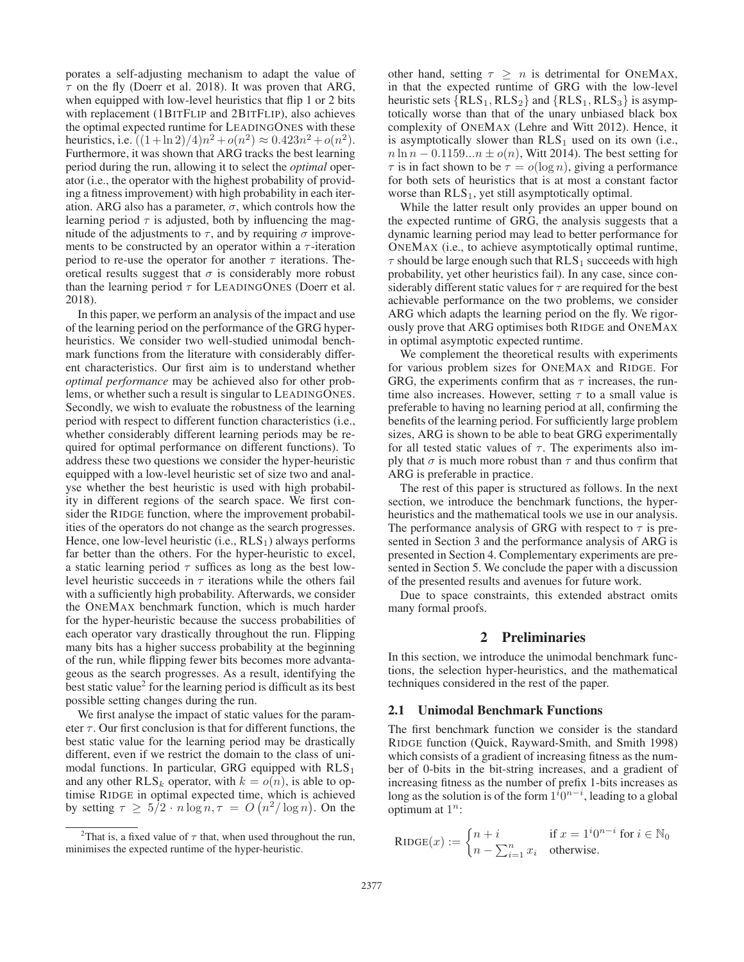porates a self-adjusting mechanism to adapt the value of  $\tau$  on the fly (Doerr et al. 2018). It was proven that ARG, when equipped with low-level heuristics that flip 1 or 2 bits with replacement (1BITFLIP and 2BITFLIP), also achieves the optimal expected runtime for LEADINGONES with these heuristics, i.e.  $((1+\ln 2)/4)n^2 + o(n^2) \approx 0.423n^2 + o(n^2)$ . Furthermore, it was shown that ARG tracks the best learning period during the run, allowing it to select the *optimal* operator (i.e., the operator with the highest probability of providing a fitness improvement) with high probability in each iteration. ARG also has a parameter,  $\sigma$ , which controls how the learning period  $\tau$  is adjusted, both by influencing the magnitude of the adjustments to  $\tau$ , and by requiring  $\sigma$  improvements to be constructed by an operator within a  $\tau$ -iteration period to re-use the operator for another  $\tau$  iterations. Theoretical results suggest that  $\sigma$  is considerably more robust than the learning period  $\tau$  for LEADINGONES (Doerr et al. 2018).

In this paper, we perform an analysis of the impact and use of the learning period on the performance of the GRG hyperheuristics. We consider two well-studied unimodal benchmark functions from the literature with considerably different characteristics. Our first aim is to understand whether *optimal performance* may be achieved also for other problems, or whether such a result is singular to LEADINGONES. Secondly, we wish to evaluate the robustness of the learning period with respect to different function characteristics (i.e., whether considerably different learning periods may be required for optimal performance on different functions). To address these two questions we consider the hyper-heuristic equipped with a low-level heuristic set of size two and analyse whether the best heuristic is used with high probability in different regions of the search space. We first consider the RIDGE function, where the improvement probabilities of the operators do not change as the search progresses. Hence, one low-level heuristic (i.e.,  $RLS_1$ ) always performs far better than the others. For the hyper-heuristic to excel, a static learning period  $\tau$  suffices as long as the best lowlevel heuristic succeeds in  $\tau$  iterations while the others fail with a sufficiently high probability. Afterwards, we consider the ONEMAX benchmark function, which is much harder for the hyper-heuristic because the success probabilities of each operator vary drastically throughout the run. Flipping many bits has a higher success probability at the beginning of the run, while flipping fewer bits becomes more advantageous as the search progresses. As a result, identifying the best static value<sup>2</sup> for the learning period is difficult as its best possible setting changes during the run.

We first analyse the impact of static values for the parameter  $\tau$ . Our first conclusion is that for different functions, the best static value for the learning period may be drastically different, even if we restrict the domain to the class of unimodal functions. In particular, GRG equipped with  $RLS<sub>1</sub>$ and any other  $RLS_k$  operator, with  $k = o(n)$ , is able to optimise RIDGE in optimal expected time, which is achieved by setting  $\tau \ge 5/2 \cdot n \log n, \tau = O\left(n^2/\log n\right)$ . On the

other hand, setting  $\tau \geq n$  is detrimental for ONEMAX, in that the expected runtime of GRG with the low-level heuristic sets  $\{RLS_1, RLS_2\}$  and  $\{RLS_1, RLS_3\}$  is asymptotically worse than that of the unary unbiased black box complexity of ONEMAX (Lehre and Witt 2012). Hence, it is asymptotically slower than  $RLS<sub>1</sub>$  used on its own (i.e.,  $n \ln n - 0.1159...n \pm o(n)$ , Witt 2014). The best setting for  $\tau$  is in fact shown to be  $\tau = o(\log n)$ , giving a performance for both sets of heuristics that is at most a constant factor worse than  $RLS<sub>1</sub>$ , yet still asymptotically optimal.

While the latter result only provides an upper bound on the expected runtime of GRG, the analysis suggests that a dynamic learning period may lead to better performance for ONEMAX (i.e., to achieve asymptotically optimal runtime,  $\tau$  should be large enough such that RLS<sub>1</sub> succeeds with high probability, yet other heuristics fail). In any case, since considerably different static values for  $\tau$  are required for the best achievable performance on the two problems, we consider ARG which adapts the learning period on the fly. We rigorously prove that ARG optimises both RIDGE and ONEMAX in optimal asymptotic expected runtime.

We complement the theoretical results with experiments for various problem sizes for ONEMAX and RIDGE. For GRG, the experiments confirm that as  $\tau$  increases, the runtime also increases. However, setting  $\tau$  to a small value is preferable to having no learning period at all, confirming the benefits of the learning period. For sufficiently large problem sizes, ARG is shown to be able to beat GRG experimentally for all tested static values of  $\tau$ . The experiments also imply that  $\sigma$  is much more robust than  $\tau$  and thus confirm that ARG is preferable in practice.

The rest of this paper is structured as follows. In the next section, we introduce the benchmark functions, the hyperheuristics and the mathematical tools we use in our analysis. The performance analysis of GRG with respect to  $\tau$  is presented in Section 3 and the performance analysis of ARG is presented in Section 4. Complementary experiments are presented in Section 5. We conclude the paper with a discussion of the presented results and avenues for future work.

Due to space constraints, this extended abstract omits many formal proofs.

# 2 Preliminaries

In this section, we introduce the unimodal benchmark functions, the selection hyper-heuristics, and the mathematical techniques considered in the rest of the paper.

### 2.1 Unimodal Benchmark Functions

The first benchmark function we consider is the standard RIDGE function (Quick, Rayward-Smith, and Smith 1998) which consists of a gradient of increasing fitness as the number of 0-bits in the bit-string increases, and a gradient of increasing fitness as the number of prefix 1-bits increases as long as the solution is of the form  $1^i 0^{n-i}$ , leading to a global optimum at  $1^n$ . optimum at  $1^n$ :

RIDGE
$$
(x) := \begin{cases} n+i & \text{if } x = 1^i 0^{n-i} \text{ for } i \in \mathbb{N}_0 \\ n - \sum_{i=1}^n x_i & \text{otherwise.} \end{cases}
$$

<sup>&</sup>lt;sup>2</sup>That is, a fixed value of  $\tau$  that, when used throughout the run, minimises the expected runtime of the hyper-heuristic.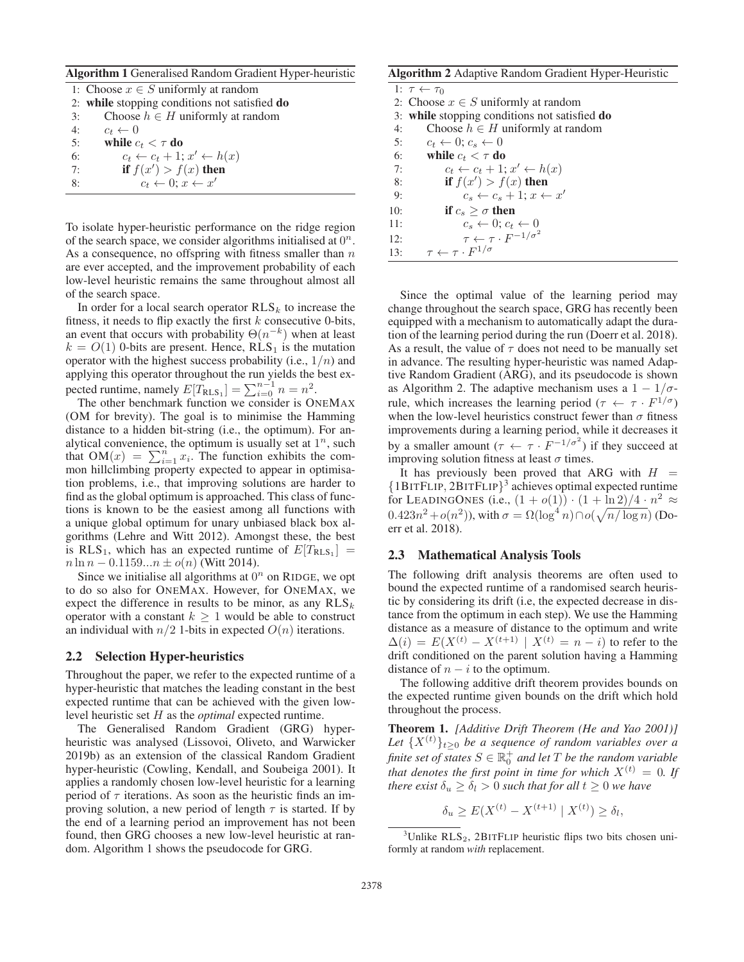Algorithm 1 Generalised Random Gradient Hyper-heuristic

|    | 1: Choose $x \in S$ uniformly at random       |
|----|-----------------------------------------------|
|    | 2: while stopping conditions not satisfied do |
| 3: | Choose $h \in H$ uniformly at random          |
| 4: | $c_t \leftarrow 0$                            |
| 5: | while $c_t < \tau$ do                         |
| 6: | $c_t \leftarrow c_t + 1; x' \leftarrow h(x)$  |
| 7: | if $f(x') > f(x)$ then                        |
| 8: | $c_t \leftarrow 0; x \leftarrow x'$           |
|    |                                               |

To isolate hyper-heuristic performance on the ridge region of the search space, we consider algorithms initialised at  $0^n$ . As a consequence, no offspring with fitness smaller than  $n$ are ever accepted, and the improvement probability of each low-level heuristic remains the same throughout almost all of the search space.

In order for a local search operator  $RLS_k$  to increase the fitness, it needs to flip exactly the first  $k$  consecutive 0-bits, an event that occurs with probability  $\Theta(n^{-k})$  when at least  $k = O(1)$  0-bits are present. Hence, RLS<sub>1</sub> is the mutation operator with the highest success probability (i.e.,  $1/n$ ) and applying this operator throughout the run yields the best expected runtime, namely  $E[T_{\text{RLS}_1}] = \sum_{i=0}^{n-1} n = n^2$ .<br>The other benchmark function we consider is On

The other benchmark function we consider is ONEMAX (OM for brevity). The goal is to minimise the Hamming distance to a hidden bit-string (i.e., the optimum). For analytical convenience, the optimum is usually set at  $1^n$ , such that  $OM(x) = \sum_{n=1}^{n} x_n$ . The function exhibits the comthat  $OM(x) = \sum_{i=1}^{n} x_i$ . The function exhibits the com-<br>mon hillclimbing property expected to appear in optimisamon hillclimbing property expected to appear in optimisation problems, i.e., that improving solutions are harder to find as the global optimum is approached. This class of functions is known to be the easiest among all functions with a unique global optimum for unary unbiased black box algorithms (Lehre and Witt 2012). Amongst these, the best is RLS<sub>1</sub>, which has an expected runtime of  $E[T_{RLS_1}]$  =  $n \ln n - 0.1159...n \pm o(n)$  (Witt 2014).

Since we initialise all algorithms at  $0<sup>n</sup>$  on RIDGE, we opt to do so also for ONEMAX. However, for ONEMAX, we expect the difference in results to be minor, as any  $RLS_k$ operator with a constant  $k \geq 1$  would be able to construct an individual with  $n/2$  1-bits in expected  $O(n)$  iterations.

#### 2.2 Selection Hyper-heuristics

Throughout the paper, we refer to the expected runtime of a hyper-heuristic that matches the leading constant in the best expected runtime that can be achieved with the given lowlevel heuristic set H as the *optimal* expected runtime.

The Generalised Random Gradient (GRG) hyperheuristic was analysed (Lissovoi, Oliveto, and Warwicker 2019b) as an extension of the classical Random Gradient hyper-heuristic (Cowling, Kendall, and Soubeiga 2001). It applies a randomly chosen low-level heuristic for a learning period of  $\tau$  iterations. As soon as the heuristic finds an improving solution, a new period of length  $\tau$  is started. If by the end of a learning period an improvement has not been found, then GRG chooses a new low-level heuristic at random. Algorithm 1 shows the pseudocode for GRG.

### Algorithm 2 Adaptive Random Gradient Hyper-Heuristic

|     | 1: $\tau \leftarrow \tau_0$                      |
|-----|--------------------------------------------------|
|     | 2: Choose $x \in S$ uniformly at random          |
|     | 3: while stopping conditions not satisfied do    |
| 4:  | Choose $h \in H$ uniformly at random             |
| 5:  | $c_t \leftarrow 0$ ; $c_s \leftarrow 0$          |
| 6:  | while $c_t < \tau$ do                            |
| 7:  | $c_t \leftarrow c_t + 1; x' \leftarrow h(x)$     |
| 8:  | if $f(x') > f(x)$ then                           |
| 9:  | $c_{s} \leftarrow c_{s} + 1$ : $x \leftarrow x'$ |
| 10: | if $c_{s} > \sigma$ then                         |
| 11: | $c_s \leftarrow 0$ ; $c_t \leftarrow 0$          |
| 12: | $\tau \leftarrow \tau \cdot F^{-1/\sigma^2}$     |
| 13: | $\tau \leftarrow \tau \cdot F^{1/\sigma}$        |
|     |                                                  |

Since the optimal value of the learning period may change throughout the search space, GRG has recently been equipped with a mechanism to automatically adapt the duration of the learning period during the run (Doerr et al. 2018). As a result, the value of  $\tau$  does not need to be manually set in advance. The resulting hyper-heuristic was named Adaptive Random Gradient (ARG), and its pseudocode is shown as Algorithm 2. The adaptive mechanism uses a  $1 - 1/\sigma$ rule, which increases the learning period ( $\tau \leftarrow \tau \cdot F^{1/\sigma}$ ) when the low-level heuristics construct fewer than  $\sigma$  fitness improvements during a learning period, while it decreases it by a smaller amount  $(\tau \leftarrow \tau \cdot F^{-1/\sigma^2})$  if they succeed at improving solution fitness at least  $\sigma$  times.

It has previously been proved that ARG with  $H =$ {1BITFLIP, 2BITFLIP}<sup>3</sup> achieves optimal expected runtime for LEADINGONES (i.e.,  $(1 + o(1)) \cdot (1 + \ln 2)/4 \cdot n^2 \approx$  $0.423n^2 + o(n^2)$ ), with  $\sigma = \Omega(\log^4 n) \cap o(\sqrt{n/\log n})$  (Doerr et al. 2018) err et al. 2018).

# 2.3 Mathematical Analysis Tools

The following drift analysis theorems are often used to bound the expected runtime of a randomised search heuristic by considering its drift (i.e, the expected decrease in distance from the optimum in each step). We use the Hamming distance as a measure of distance to the optimum and write  $\Delta(i) = E(X^{(t)} - X^{(t+1)}) | X^{(t)} = n - i$  to refer to the drift conditioned on the parent solution having a Hamming distance of  $n - i$  to the optimum.

The following additive drift theorem provides bounds on the expected runtime given bounds on the drift which hold throughout the process.

Theorem 1. *[Additive Drift Theorem (He and Yao 2001)]* Let  $\{X^{(t)}\}_{t\geq0}$  be a sequence of random variables over a *finite set of states*  $S \in \mathbb{R}^+$  *and let* T *be the random variable*<br>*that danates the first point in time for which*  $Y^{(t)} = 0$  *H that denotes the first point in time for which*  $X^{(t)} = 0$ *. If there exist*  $\delta_u \geq \delta_l > 0$  *such that for all*  $t \geq 0$  *we have* 

 $\delta_u \ge E(X^{(t)} - X^{(t+1)} | X^{(t)}) \ge \delta_l,$ 

<sup>&</sup>lt;sup>3</sup>Unlike RLS<sub>2</sub>, 2BITFLIP heuristic flips two bits chosen uniformly at random *with* replacement.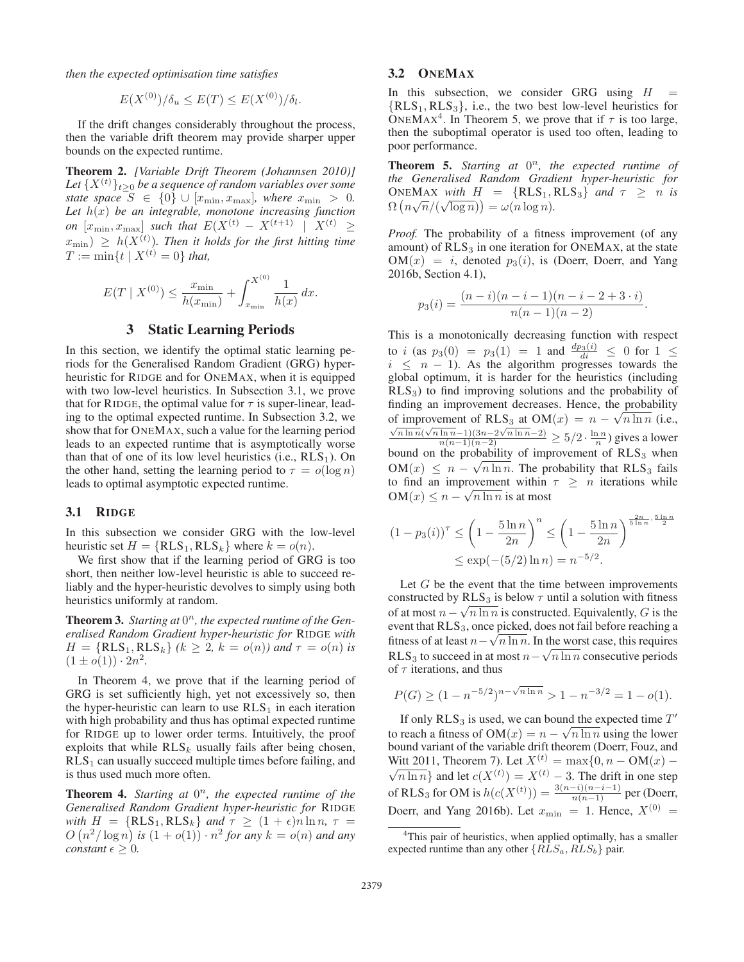*then the expected optimisation time satisfies*

$$
E(X^{(0)})/\delta_u \le E(T) \le E(X^{(0)})/\delta_l.
$$

If the drift changes considerably throughout the process, then the variable drift theorem may provide sharper upper bounds on the expected runtime.

Theorem 2. *[Variable Drift Theorem (Johannsen 2010)]* Let  $\{X^{(t)}\}_{t\geq0}$  *be a sequence of random variables over some state space*  $S \in \{0\} \cup [x_{\min}, x_{\max}]$ *, where*  $x_{\min} > 0$ *.* Let  $h(x)$  be an integrable, monotone increasing function *on*  $[x_{\min}, x_{\max}]$  *such that*  $E(X^{(t)} - X^{(t+1)} | X^{(t)} \geq$  $(x_{\min}) \geq h(X^{(t)})$ . Then it holds for the first hitting time  $T := \min_{t} f_t + \mathbf{Y}^{(t)} = 0$ , that  $T := \min\{t \mid X^{(t)} = 0\}$  that,

$$
E(T \mid X^{(0)}) \le \frac{x_{\min}}{h(x_{\min})} + \int_{x_{\min}}^{X^{(0)}} \frac{1}{h(x)} dx.
$$

# 3 Static Learning Periods

In this section, we identify the optimal static learning periods for the Generalised Random Gradient (GRG) hyperheuristic for RIDGE and for ONEMAX, when it is equipped with two low-level heuristics. In Subsection 3.1, we prove that for RIDGE, the optimal value for  $\tau$  is super-linear, leading to the optimal expected runtime. In Subsection 3.2, we show that for ONEMAX, such a value for the learning period leads to an expected runtime that is asymptotically worse than that of one of its low level heuristics (i.e.,  $RLS<sub>1</sub>$ ). On the other hand, setting the learning period to  $\tau = o(\log n)$ leads to optimal asymptotic expected runtime.

### 3.1 RIDGE

In this subsection we consider GRG with the low-level heuristic set  $H = \{RLS_1, RLS_k\}$  where  $k = o(n)$ .

We first show that if the learning period of GRG is too short, then neither low-level heuristic is able to succeed reliably and the hyper-heuristic devolves to simply using both heuristics uniformly at random.

Theorem 3. Starting at  $0<sup>n</sup>$ , the expected runtime of the Gen*eralised Random Gradient hyper-heuristic for* RIDGE *with*  $H = \{ RLS_1, RLS_k \}$   $(k \geq 2, k = o(n)$ *) and*  $\tau = o(n)$  *is*  $(1 \pm o(1)) \cdot 2n^2$ .

In Theorem 4, we prove that if the learning period of GRG is set sufficiently high, yet not excessively so, then the hyper-heuristic can learn to use  $RLS<sub>1</sub>$  in each iteration with high probability and thus has optimal expected runtime for RIDGE up to lower order terms. Intuitively, the proof exploits that while  $RLS_k$  usually fails after being chosen,  $RLS<sub>1</sub>$  can usually succeed multiple times before failing, and is thus used much more often.

Theorem 4. *Starting at*  $0<sup>n</sup>$ *, the expected runtime of the Generalised Random Gradient hyper-heuristic for* RIDGE *with*  $H = \{RLS_1, RLS_k\}$  *and*  $\tau \geq (1 + \epsilon)n \ln n$ ,  $\tau =$  $O(n^2/\log n)$  is  $(1 + o(1)) \cdot n^2$  for any  $k = o(n)$  and any<br>constant  $\epsilon > 0$ *constant*  $\epsilon > 0$ *.* 

# 3.2 ONEMAX

In this subsection, we consider GRG using  $H =$  $\{RLS_1, RLS_3\}$ , i.e., the two best low-level heuristics for ONEMAX<sup>4</sup>. In Theorem 5, we prove that if  $\tau$  is too large, then the suboptimal operator is used too often, leading to poor performance.

**Theorem 5.** *Starting at*  $0^n$ *, the expected runtime of the Generalised Random Gradient hyper-heuristic for*  $\overline{O}(\overline{n \sqrt{n}}/(\sqrt{\log n})) = \sqrt{n \log n}$ <br>  $\overline{O}(n\sqrt{n}/(\sqrt{\log n})) = \sqrt{n \log n}$  $\Omega(n\sqrt{n}/(\sqrt{\log n})) = \omega(n\log n).$ 

*Proof.* The probability of a fitness improvement (of any amount) of  $RLS<sub>3</sub>$  in one iteration for ONEMAX, at the state  $OM(x) = i$ , denoted  $p_3(i)$ , is (Doerr, Doerr, and Yang 2016b, Section 4.1),

$$
p_3(i) = \frac{(n-i)(n-i-1)(n-i-2+3 \cdot i)}{n(n-1)(n-2)}.
$$

This is a monotonically decreasing function with respect to i (as  $p_3(0) = p_3(1) = 1$  and  $\frac{dp_3(i)}{di} \le 0$  for  $1 \le i \le n-1$ ) As the algorithm progresses towards the  $i \leq n - 1$ ). As the algorithm progresses towards the global optimum, it is harder for the heuristics (including  $RLS<sub>3</sub>$ ) to find improving solutions and the probability of finding an improvement decreases. Hence, the probability of improvement of RLS<sub>3</sub> at OM( $x$ ) =  $n - \sqrt{n \ln n}$  (i.e.,  $\frac{\sqrt{n \ln n}(\sqrt{n \ln n} - 1)(3n - 2\sqrt{n \ln n} - 2)}{n(n-1)(n-2)} \ge 5/2 \cdot \frac{\ln n}{n}$ ) gives a lower bound on the probability of improvement of  $RLS_3$  when<br> $OM(x) \leq x$  and  $\overline{Q_1}$  are realished in that  $DLS_4$  fails bound on the probability of improvement of KLS<sub>3</sub> when<br>  $OM(x) \leq n - \sqrt{n \ln n}$ . The probability that RLS<sub>3</sub> fails<br>
to find an improvement within  $\tau > n$  iterations while to find an improvement within  $\tau \geq n$  iterations while OM(x)  $\leq n - \sqrt{n \ln n}$  is at most

$$
(1 - p_3(i))^{\tau} \le \left(1 - \frac{5\ln n}{2n}\right)^n \le \left(1 - \frac{5\ln n}{2n}\right)^{\frac{2n}{5\ln n} \cdot \frac{5\ln n}{2}}
$$

$$
\le \exp(-(5/2)\ln n) = n^{-5/2}.
$$

Let  $G$  be the event that the time between improvements constructed by  $RLS_3$  is below  $\tau$  until a solution with fitness constructed by KLS<sub>3</sub> is below  $\tau$  until a solution with hiness<br>of at most  $n - \sqrt{n \ln n}$  is constructed. Equivalently, G is the<br>event that RLS<sub>2</sub> once picked does not fail before reaching a event that  $RLS<sub>3</sub>$ , once picked, does not fail before reaching a fitness of at least  $n - \sqrt{n \ln n}$ . In the worst case, this requires<br>RI S<sub>0</sub> to succeed in at most  $n - \sqrt{n \ln n}$  consecutive periods nthess of at least  $n - \sqrt{n} \ln n$ . In the worst case, this requires<br>RLS<sub>3</sub> to succeed in at most  $n - \sqrt{n} \ln n$  consecutive periods<br>of  $\tau$  iterations, and thus of  $\tau$  iterations, and thus

$$
P(G) \ge (1 - n^{-5/2})^{n - \sqrt{n \ln n}} > 1 - n^{-3/2} = 1 - o(1).
$$

If only  $RLS_3$  is used, we can bound the expected time  $T'$ It only  $KLS_3$  is used, we can bound the expected time T<br>to reach a fitness of  $OM(x) = n - \sqrt{n \ln n}$  using the lower<br>bound variant of the variable drift theorem (Doerr. Fouz. and bound variant of the variable drift theorem (Doerr, Fouz, and Witt 2011, Theorem 7). Let  $X^{(t)} = \max\{0, n - OM(x) - \}$  $\overline{n \ln n}$  and let  $c(X^{(t)}) = X^{(t)} - 3$ . The drift in one step of RLS<sub>3</sub> for OM is  $h(c(X^{(t)})) = \frac{3(n-i)(n-i-1)}{n(n-1)}$  per (Doerr, Doerr, and Yang 2016b). Let  $x_{\min} = 1$ . Hence,  $X^{(0)} =$ 

<sup>&</sup>lt;sup>4</sup>This pair of heuristics, when applied optimally, has a smaller expected runtime than any other  $\{RLS_a, RLS_b\}$  pair.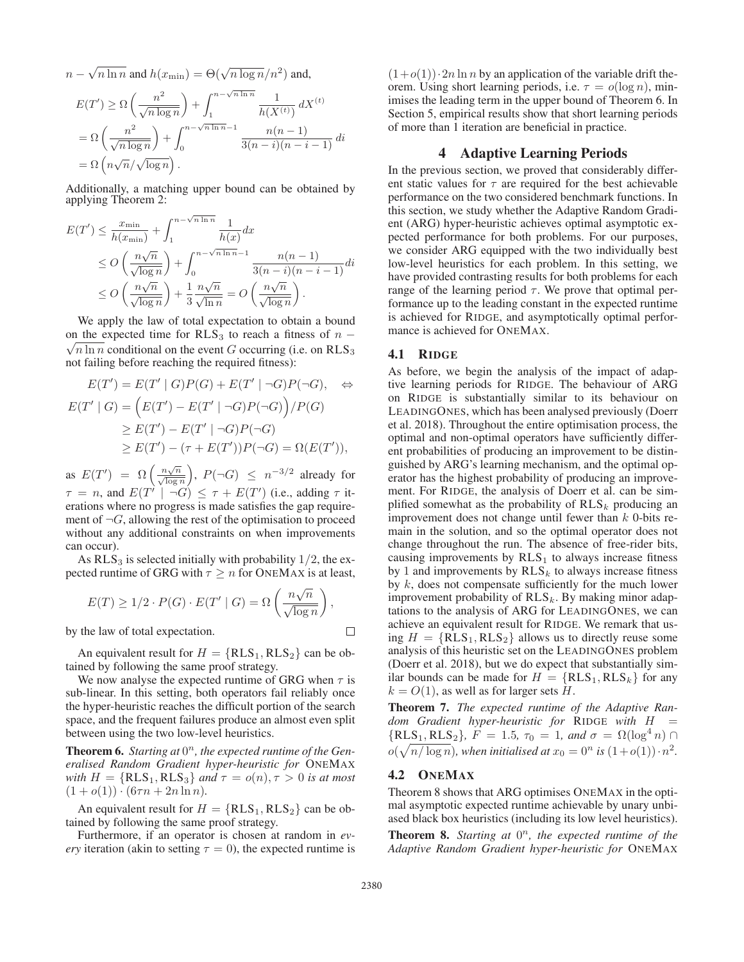$n - \sqrt{n \ln n}$  and  $h(x_{\min}) = \Theta(\sqrt{n \log n}/n^2)$  and,

$$
E(T') \ge \Omega\left(\frac{n^2}{\sqrt{n\log n}}\right) + \int_1^{n-\sqrt{n\ln n}} \frac{1}{h(X^{(t)})} dX^{(t)}
$$
  
=  $\Omega\left(\frac{n^2}{\sqrt{n\log n}}\right) + \int_0^{n-\sqrt{n\ln n}-1} \frac{n(n-1)}{3(n-i)(n-i-1)} di$   
=  $\Omega\left(n\sqrt{n}/\sqrt{\log n}\right)$ .

Additionally, a matching upper bound can be obtained by applying Theorem 2:

$$
E(T') \leq \frac{x_{\min}}{h(x_{\min})} + \int_{1}^{n-\sqrt{n\ln n}} \frac{1}{h(x)} dx
$$
  
\n
$$
\leq O\left(\frac{n\sqrt{n}}{\sqrt{\log n}}\right) + \int_{0}^{n-\sqrt{n\ln n}-1} \frac{n(n-1)}{3(n-i)(n-i-1)} dt
$$
  
\n
$$
\leq O\left(\frac{n\sqrt{n}}{\sqrt{\log n}}\right) + \frac{1}{3} \frac{n\sqrt{n}}{\sqrt{\ln n}} = O\left(\frac{n\sqrt{n}}{\sqrt{\log n}}\right).
$$

We apply the law of total expectation to obtain a bound on the expected time for  $RLS_3$  to reach a fitness of  $n - \sqrt{2 \ln n}$  and itingal on the spectral contraction (i.e., n.p. N.S.  $\sqrt{n \ln n}$  conditional on the event G occurring (i.e. on RLS<sub>3</sub> not failing before reaching the required fitness):

$$
E(T') = E(T' | G)P(G) + E(T' | \neg G)P(\neg G), \Leftrightarrow
$$
  
\n
$$
E(T' | G) = (E(T') - E(T' | \neg G)P(\neg G)) / P(G)
$$
  
\n
$$
\geq E(T') - E(T' | \neg G)P(\neg G)
$$
  
\n
$$
\geq E(T') - (\tau + E(T'))P(\neg G) = \Omega(E(T')),
$$

as  $E(T') = \Omega \left( \frac{n\sqrt{n}}{\sqrt{\log n}} \right)$  $\binom{1}{2}$ ,  $P(\neg G) \leq n^{-3/2}$  already for  $\tau = n$ , and  $E(T^{\dagger} \mid \neg G) \leq \tau + E(T^{\prime})$  (i.e., adding  $\tau$  it-<br>erations where no progress is made satisfies the gap requireerations where no progress is made satisfies the gap requirement of  $\neg G$ , allowing the rest of the optimisation to proceed without any additional constraints on when improvements can occur).

As  $RLS<sub>3</sub>$  is selected initially with probability 1/2, the expected runtime of GRG with  $\tau \geq n$  for ONEMAX is at least,

$$
E(T) \ge 1/2 \cdot P(G) \cdot E(T' \mid G) = \Omega\left(\frac{n\sqrt{n}}{\sqrt{\log n}}\right),\,
$$

by the law of total expectation.

An equivalent result for  $H = \{RLS_1, RLS_2\}$  can be obtained by following the same proof strategy.

We now analyse the expected runtime of GRG when  $\tau$  is sub-linear. In this setting, both operators fail reliably once the hyper-heuristic reaches the difficult portion of the search space, and the frequent failures produce an almost even split between using the two low-level heuristics.

Theorem 6. Starting at  $0<sup>n</sup>$ , the expected runtime of the Gen*eralised Random Gradient hyper-heuristic for* ONEMAX *with*  $H = \{RLS_1, RLS_3\}$  *and*  $\tau = o(n), \tau > 0$  *is at most*  $(1 + o(1)) \cdot (6\tau n + 2n \ln n)$ .

An equivalent result for  $H = \{RLS_1, RLS_2\}$  can be obtained by following the same proof strategy.

Furthermore, if an operator is chosen at random in *every* iteration (akin to setting  $\tau = 0$ ), the expected runtime is

 $(1+o(1))\cdot 2n \ln n$  by an application of the variable drift theorem. Using short learning periods, i.e.  $\tau = o(\log n)$ , minimises the leading term in the upper bound of Theorem 6. In Section 5, empirical results show that short learning periods of more than 1 iteration are beneficial in practice.

# 4 Adaptive Learning Periods

In the previous section, we proved that considerably different static values for  $\tau$  are required for the best achievable performance on the two considered benchmark functions. In this section, we study whether the Adaptive Random Gradient (ARG) hyper-heuristic achieves optimal asymptotic expected performance for both problems. For our purposes, we consider ARG equipped with the two individually best low-level heuristics for each problem. In this setting, we have provided contrasting results for both problems for each range of the learning period  $\tau$ . We prove that optimal performance up to the leading constant in the expected runtime is achieved for RIDGE, and asymptotically optimal performance is achieved for ONEMAX.

### 4.1 RIDGE

As before, we begin the analysis of the impact of adaptive learning periods for RIDGE. The behaviour of ARG on RIDGE is substantially similar to its behaviour on LEADINGONES, which has been analysed previously (Doerr et al. 2018). Throughout the entire optimisation process, the optimal and non-optimal operators have sufficiently different probabilities of producing an improvement to be distinguished by ARG's learning mechanism, and the optimal operator has the highest probability of producing an improvement. For RIDGE, the analysis of Doerr et al. can be simplified somewhat as the probability of  $RLS_k$  producing an improvement does not change until fewer than  $k$  0-bits remain in the solution, and so the optimal operator does not change throughout the run. The absence of free-rider bits, causing improvements by  $RLS<sub>1</sub>$  to always increase fitness by 1 and improvements by  $RLS_k$  to always increase fitness by  $k$ , does not compensate sufficiently for the much lower improvement probability of  $RLS_k$ . By making minor adaptations to the analysis of ARG for LEADINGONES, we can achieve an equivalent result for RIDGE. We remark that using  $H = \{RLS_1, RLS_2\}$  allows us to directly reuse some analysis of this heuristic set on the LEADINGONES problem (Doerr et al. 2018), but we do expect that substantially similar bounds can be made for  $H = \{RLS_1, RLS_k\}$  for any  $k = O(1)$ , as well as for larger sets H.

Theorem 7. *The expected runtime of the Adaptive Random Gradient hyper-heuristic for* RIDGE *with* <sup>H</sup> =  $\{RLS_1, RLS_2\}, F = 1.5, \tau_0 = 1, \text{ and } \sigma = \Omega(\log^4 n) \cap$ <br> $\Omega(\sqrt{n/\log n})$  when initialized at  $x_i = 0^n$  is  $(1 + o(1)) \cdot n^2$  $o(\sqrt{n/\log n})$ , when initialised at  $x_0 = 0^n$  is  $(1+o(1)) \cdot n^2$ .

## 4.2 ONEMAX

Theorem 8 shows that ARG optimises ONEMAX in the optimal asymptotic expected runtime achievable by unary unbiased black box heuristics (including its low level heuristics).

**Theorem 8.** *Starting at*  $0^n$ *, the expected runtime of the Adaptive Random Gradient hyper-heuristic for* ONEMAX

 $\Box$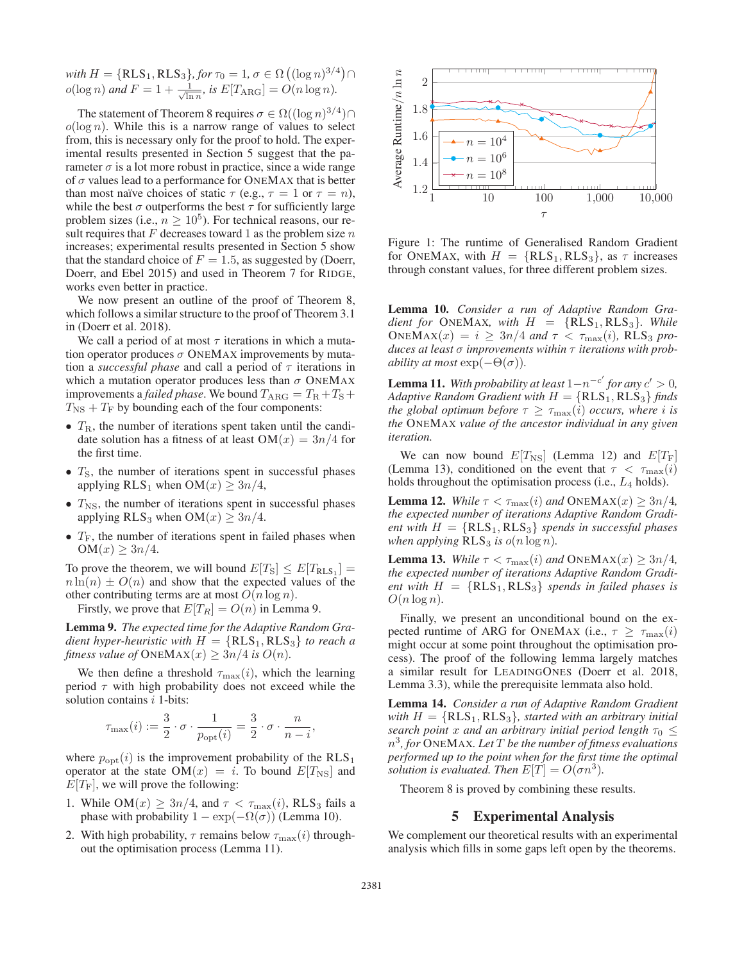with  $H = \{RLS_1, RLS_3\}$ , for  $\tau_0 = 1$ ,  $\sigma \in \Omega \left( (\log n)^{3/4} \right) \cap$ <br> $\alpha$ (log n) and  $F = 1 + \frac{1}{2}$  is  $F[T_{1,2} - 1] = O(n \log n)$  $o(\log n)$  *and*  $F = 1 + \frac{1}{\sqrt{\ln n}}$ , *is*  $E[T_{\text{ARG}}] = O(n \log n)$ .

The statement of Theorem 8 requires  $\sigma \in \Omega((\log n)^{3/4})\cap$  $o(\log n)$ . While this is a narrow range of values to select from, this is necessary only for the proof to hold. The experimental results presented in Section 5 suggest that the parameter  $\sigma$  is a lot more robust in practice, since a wide range of  $\sigma$  values lead to a performance for ONEMAX that is better than most naïve choices of static  $\tau$  (e.g.,  $\tau = 1$  or  $\tau = n$ ), while the best  $\sigma$  outperforms the best  $\tau$  for sufficiently large problem sizes (i.e.,  $n \geq 10^5$ ). For technical reasons, our result requires that  $F$  decreases toward 1 as the problem size  $n$ increases; experimental results presented in Section 5 show that the standard choice of  $F = 1.5$ , as suggested by (Doerr, Doerr, and Ebel 2015) and used in Theorem 7 for RIDGE, works even better in practice.

We now present an outline of the proof of Theorem 8, which follows a similar structure to the proof of Theorem 3.1 in (Doerr et al. 2018).

We call a period of at most  $\tau$  iterations in which a mutation operator produces  $\sigma$  ONEMAX improvements by mutation a *successful phase* and call a period of  $\tau$  iterations in which a mutation operator produces less than  $\sigma$  ONEMAX improvements a *failed phase*. We bound  $T_{\text{ARG}} = T_{\text{R}} + T_{\text{S}} + T_{\text{S}}$  $T_{\text{NS}} + T_{\text{F}}$  by bounding each of the four components:

- $T_{\rm R}$ , the number of iterations spent taken until the candidate solution has a fitness of at least  $OM(x)=3n/4$  for the first time.
- $T<sub>S</sub>$ , the number of iterations spent in successful phases applying RLS<sub>1</sub> when OM(x)  $\geq 3n/4$ ,
- $T_{\text{NS}}$ , the number of iterations spent in successful phases applying RLS<sub>3</sub> when OM $(x) \geq 3n/4$ .
- $T_F$ , the number of iterations spent in failed phases when  $OM(x) \geq 3n/4.$

To prove the theorem, we will bound  $E[T_S] \leq E[T_{RLS_1}] =$  $n \ln(n) \pm O(n)$  and show that the expected values of the other contributing terms are at most  $O(n \log n)$ .

Firstly, we prove that  $E[T_R] = O(n)$  in Lemma 9.

Lemma 9. *The expected time for the Adaptive Random Gradient hyper-heuristic with*  $H = \{RLS_1, RLS_3\}$  *to reach a fitness value of*  $\text{ONEMAX}(x) \geq 3n/4$  *is*  $O(n)$ *.* 

We then define a threshold  $\tau_{\text{max}}(i)$ , which the learning period  $\tau$  with high probability does not exceed while the solution contains *i* 1-bits:

$$
\tau_{\max}(i) := \frac{3}{2} \cdot \sigma \cdot \frac{1}{p_{\text{opt}}(i)} = \frac{3}{2} \cdot \sigma \cdot \frac{n}{n-i}
$$

where  $p_{opt}(i)$  is the improvement probability of the  $RLS_1$ operator at the state OM $(x) = i$ . To bound  $E[T_{\text{NS}}]$  and  $E[T_F]$ , we will prove the following:

- 1. While OM(x)  $\geq 3n/4$ , and  $\tau < \tau_{\text{max}}(i)$ , RLS<sub>3</sub> fails a phase with probability  $1 - \exp(-\Omega(\sigma))$  (Lemma 10).
- 2. With high probability,  $\tau$  remains below  $\tau_{\text{max}}(i)$  throughout the optimisation process (Lemma 11).



Figure 1: The runtime of Generalised Random Gradient for ONEMAX, with  $H = \{RLS_1, RLS_3\}$ , as  $\tau$  increases through constant values, for three different problem sizes.

Lemma 10. *Consider a run of Adaptive Random Gradient for* ONEMAX, with  $H = \{RLS_1, RLS_3\}$ . While  $\text{ONEMAX}(x) = i \geq 3n/4 \text{ and } \tau < \tau_{\text{max}}(i)$ , RLS<sub>3</sub> pro*duces at least* σ *improvements within* τ *iterations with probability at most*  $\exp(-\Theta(\sigma))$ .

**Lemma 11.** With probability at least  $1 - n^{-c'}$  for any  $c' > 0$ ,<br>Adaptive Random Gradient with  $H = \{RLS_1, RLS_2\}$  finds *Adaptive Random Gradient with*  $H = \{RLS_1, RLS_3\}$  *finds the global optimum before*  $\tau \geq \tau_{\text{max}}(i)$  *occurs, where i is the* ONEMAX *value of the ancestor individual in any given iteration.*

We can now bound  $E[T_{\text{NS}}]$  (Lemma 12) and  $E[T_{\text{F}}]$ (Lemma 13), conditioned on the event that  $\tau < \tau_{\text{max}}(i)$ holds throughout the optimisation process (i.e.,  $L_4$  holds).

**Lemma 12.** *While*  $\tau < \tau_{\text{max}}(i)$  *and* ONEMAX $(x) \geq 3n/4$ *, the expected number of iterations Adaptive Random Gradient with*  $H = \{RLS_1, RLS_3\}$  *spends in successful phases when applying*  $RLS_3$  *is*  $o(n \log n)$ *.* 

**Lemma 13.** *While*  $\tau < \tau_{\text{max}}(i)$  *and* ONEMAX $(x) \geq 3n/4$ *, the expected number of iterations Adaptive Random Gradient with*  $H = {RLS_1, RLS_3}$  *spends in failed phases is*  $O(n \log n)$ .

Finally, we present an unconditional bound on the expected runtime of ARG for ONEMAX (i.e.,  $\tau \geq \tau_{\text{max}}(i)$ might occur at some point throughout the optimisation process). The proof of the following lemma largely matches a similar result for LEADINGONES (Doerr et al. 2018, Lemma 3.3), while the prerequisite lemmata also hold.

Lemma 14. *Consider a run of Adaptive Random Gradient with*  $H = \{RLS_1, RLS_3\}$ , *started with an arbitrary initial search point* x *and an arbitrary initial period length*  $\tau_0$  < n3*, for* ONEMAX*. Let* T *be the number of fitness evaluations performed up to the point when for the first time the optimal solution is evaluated. Then*  $E[T] = O(\sigma n^3)$ *.* 

Theorem 8 is proved by combining these results.

## 5 Experimental Analysis

We complement our theoretical results with an experimental analysis which fills in some gaps left open by the theorems.

,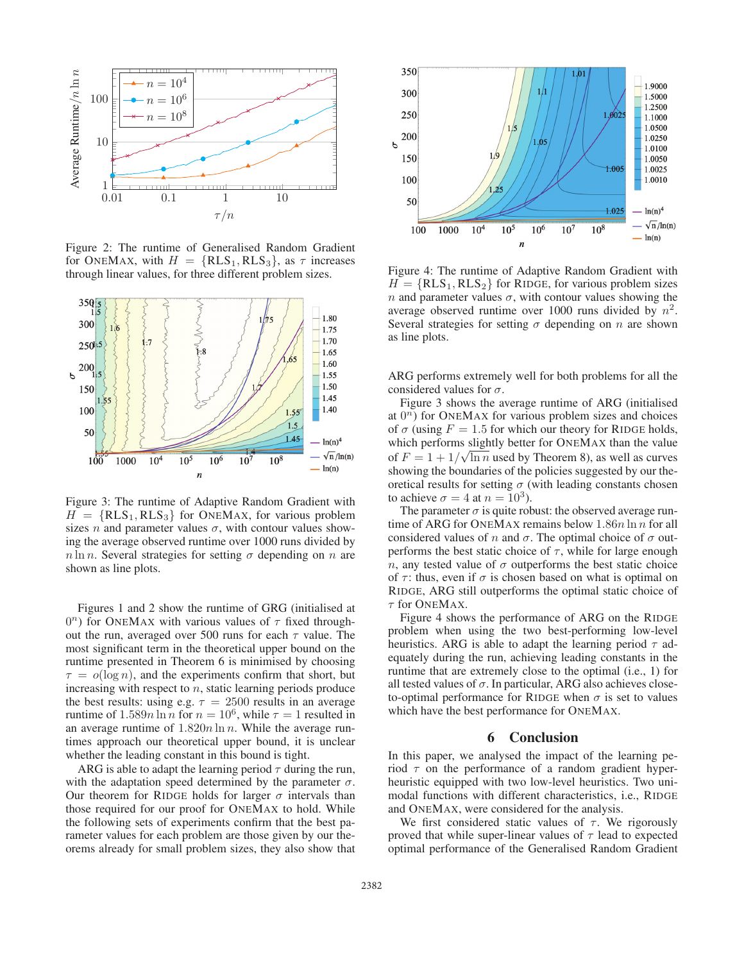

Figure 2: The runtime of Generalised Random Gradient for ONEMAX, with  $H = \{RLS_1, RLS_3\}$ , as  $\tau$  increases through linear values, for three different problem sizes.



Figure 3: The runtime of Adaptive Random Gradient with  $H = {RLS_1, RLS_3}$  for ONEMAX, for various problem sizes *n* and parameter values  $\sigma$ , with contour values showing the average observed runtime over 1000 runs divided by  $n \ln n$ . Several strategies for setting  $\sigma$  depending on n are shown as line plots.

Figures 1 and 2 show the runtime of GRG (initialised at  $0^n$ ) for ONEMAX with various values of  $\tau$  fixed throughout the run, averaged over 500 runs for each  $\tau$  value. The most significant term in the theoretical upper bound on the runtime presented in Theorem 6 is minimised by choosing  $\tau = o(\log n)$ , and the experiments confirm that short, but increasing with respect to  $n$ , static learning periods produce the best results: using e.g.  $\tau = 2500$  results in an average runtime of  $1.589n \ln n$  for  $n = 10^6$ , while  $\tau = 1$  resulted in an average runtime of  $1.820n \ln n$ . While the average runtimes approach our theoretical upper bound, it is unclear whether the leading constant in this bound is tight.

ARG is able to adapt the learning period  $\tau$  during the run, with the adaptation speed determined by the parameter  $\sigma$ . Our theorem for RIDGE holds for larger  $\sigma$  intervals than those required for our proof for ONEMAX to hold. While the following sets of experiments confirm that the best parameter values for each problem are those given by our theorems already for small problem sizes, they also show that



Figure 4: The runtime of Adaptive Random Gradient with  $H = \{RLS_1, RLS_2\}$  for RIDGE, for various problem sizes n and parameter values  $\sigma$ , with contour values showing the average observed runtime over 1000 runs divided by  $n^2$ . Several strategies for setting  $\sigma$  depending on n are shown as line plots.

ARG performs extremely well for both problems for all the considered values for  $\sigma$ .

Figure 3 shows the average runtime of ARG (initialised at  $0^n$ ) for ONEMAX for various problem sizes and choices of  $\sigma$  (using  $F = 1.5$  for which our theory for RIDGE holds, which performs slightly better for ONEMAX than the value of  $F = 1 + 1/\sqrt{\ln n}$  used by Theorem 8), as well as curves showing the boundaries of the policies suggested by our theshowing the boundaries of the policies suggested by our theoretical results for setting  $\sigma$  (with leading constants chosen to achieve  $\sigma = 4$  at  $n = 10^3$ ).

The parameter  $\sigma$  is quite robust: the observed average runtime of ARG for ONEMAX remains below  $1.86n \ln n$  for all considered values of n and  $\sigma$ . The optimal choice of  $\sigma$  outperforms the best static choice of  $\tau$ , while for large enough n, any tested value of  $\sigma$  outperforms the best static choice of  $\tau$ : thus, even if  $\sigma$  is chosen based on what is optimal on RIDGE, ARG still outperforms the optimal static choice of  $\tau$  for ONEMAX.

Figure 4 shows the performance of ARG on the RIDGE problem when using the two best-performing low-level heuristics. ARG is able to adapt the learning period  $\tau$  adequately during the run, achieving leading constants in the runtime that are extremely close to the optimal (i.e., 1) for all tested values of  $\sigma$ . In particular, ARG also achieves closeto-optimal performance for RIDGE when  $\sigma$  is set to values which have the best performance for ONEMAX.

### 6 Conclusion

In this paper, we analysed the impact of the learning period  $\tau$  on the performance of a random gradient hyperheuristic equipped with two low-level heuristics. Two unimodal functions with different characteristics, i.e., RIDGE and ONEMAX, were considered for the analysis.

We first considered static values of  $\tau$ . We rigorously proved that while super-linear values of  $\tau$  lead to expected optimal performance of the Generalised Random Gradient